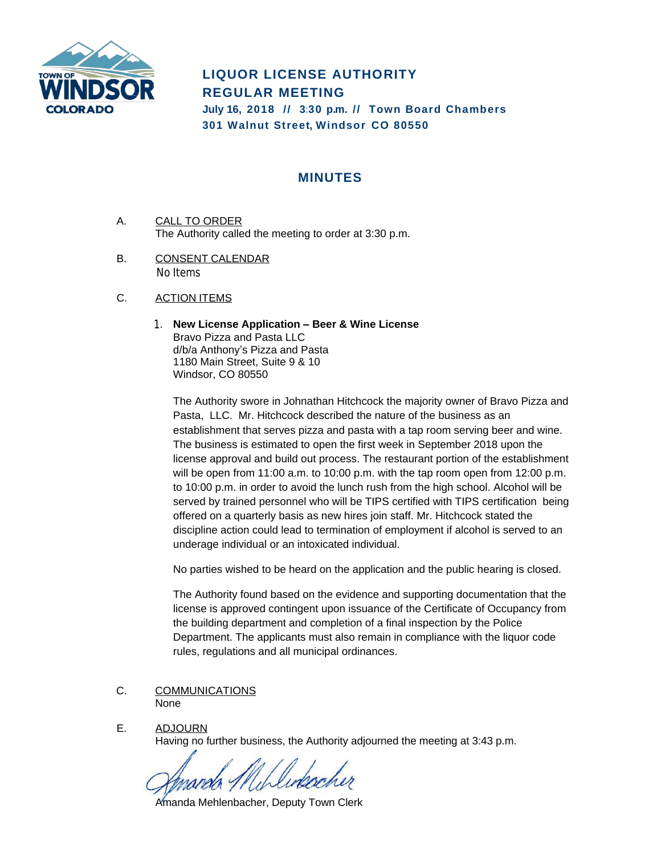

## **LIQUOR LICENSE AUTHORITY REGULAR MEETING**

**July 16, 2018 // 3:30 p.m. // Town Board Chambers 301 Walnut Street, Windsor CO 80550**

## **MINUTES**

- A. CALL TO ORDER The Authority called the meeting to order at 3:30 p.m.
- B. CONSENT CALENDAR No Items
- C. ACTION ITEMS
	- 1. **New License Application – Beer & Wine License** Bravo Pizza and Pasta LLC d/b/a Anthony's Pizza and Pasta 1180 Main Street, Suite 9 & 10 Windsor, CO 80550

The Authority swore in Johnathan Hitchcock the majority owner of Bravo Pizza and Pasta, LLC. Mr. Hitchcock described the nature of the business as an establishment that serves pizza and pasta with a tap room serving beer and wine. The business is estimated to open the first week in September 2018 upon the license approval and build out process. The restaurant portion of the establishment will be open from 11:00 a.m. to 10:00 p.m. with the tap room open from 12:00 p.m. to 10:00 p.m. in order to avoid the lunch rush from the high school. Alcohol will be served by trained personnel who will be TIPS certified with TIPS certification being offered on a quarterly basis as new hires join staff. Mr. Hitchcock stated the discipline action could lead to termination of employment if alcohol is served to an underage individual or an intoxicated individual.

No parties wished to be heard on the application and the public hearing is closed.

The Authority found based on the evidence and supporting documentation that the license is approved contingent upon issuance of the Certificate of Occupancy from the building department and completion of a final inspection by the Police Department. The applicants must also remain in compliance with the liquor code rules, regulations and all municipal ordinances.

- C. COMMUNICATIONS None
- E. ADJOURN Having no further business, the Authority adjourned the meeting at 3:43 p.m.

Amanda Mehlenbacher, Deputy Town Clerk